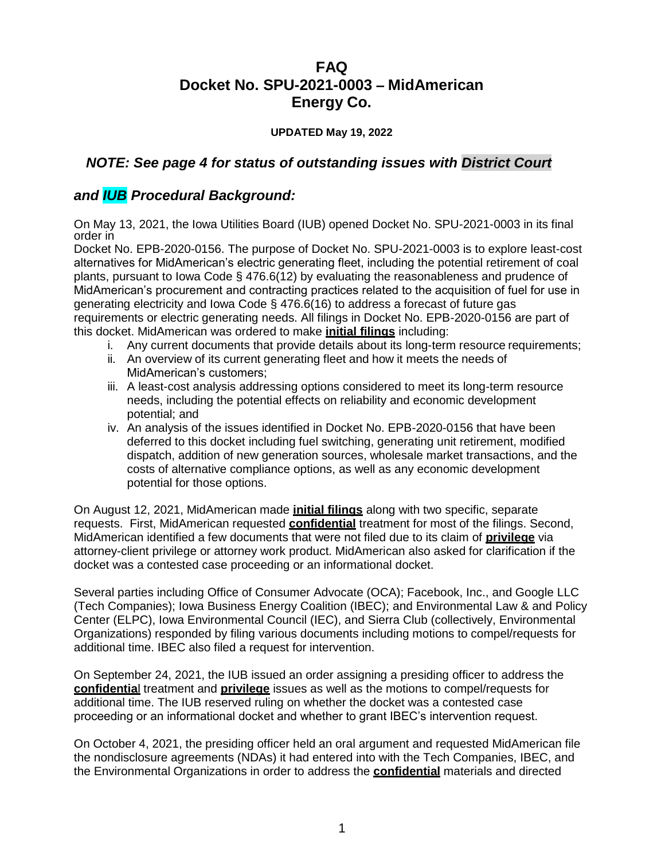# **FAQ Docket No. SPU-2021-0003 – MidAmerican Energy Co.**

## **UPDATED May 19, 2022**

## *NOTE: See page 4 for status of outstanding issues with District Court*

## *and IUB Procedural Background:*

On May 13, 2021, the Iowa Utilities Board (IUB) opened Docket No. SPU-2021-0003 in its final order in

Docket No. EPB-2020-0156. The purpose of Docket No. SPU-2021-0003 is to explore least-cost alternatives for MidAmerican's electric generating fleet, including the potential retirement of coal plants, pursuant to Iowa Code § 476.6(12) by evaluating the reasonableness and prudence of MidAmerican's procurement and contracting practices related to the acquisition of fuel for use in generating electricity and Iowa Code § 476.6(16) to address a forecast of future gas requirements or electric generating needs. All filings in Docket No. EPB-2020-0156 are part of this docket. MidAmerican was ordered to make **initial filings** including:

- i. Any current documents that provide details about its long-term resource requirements;
- ii. An overview of its current generating fleet and how it meets the needs of MidAmerican's customers;
- iii. A least-cost analysis addressing options considered to meet its long-term resource needs, including the potential effects on reliability and economic development potential; and
- iv. An analysis of the issues identified in Docket No. EPB-2020-0156 that have been deferred to this docket including fuel switching, generating unit retirement, modified dispatch, addition of new generation sources, wholesale market transactions, and the costs of alternative compliance options, as well as any economic development potential for those options.

On August 12, 2021, MidAmerican made **initial filings** along with two specific, separate requests. First, MidAmerican requested **confidential** treatment for most of the filings. Second, MidAmerican identified a few documents that were not filed due to its claim of **privilege** via attorney-client privilege or attorney work product. MidAmerican also asked for clarification if the docket was a contested case proceeding or an informational docket.

Several parties including Office of Consumer Advocate (OCA); Facebook, Inc., and Google LLC (Tech Companies); Iowa Business Energy Coalition (IBEC); and Environmental Law & and Policy Center (ELPC), Iowa Environmental Council (IEC), and Sierra Club (collectively, Environmental Organizations) responded by filing various documents including motions to compel/requests for additional time. IBEC also filed a request for intervention.

On September 24, 2021, the IUB issued an order assigning a presiding officer to address the **confidentia**l treatment and **privilege** issues as well as the motions to compel/requests for additional time. The IUB reserved ruling on whether the docket was a contested case proceeding or an informational docket and whether to grant IBEC's intervention request.

On October 4, 2021, the presiding officer held an oral argument and requested MidAmerican file the nondisclosure agreements (NDAs) it had entered into with the Tech Companies, IBEC, and the Environmental Organizations in order to address the **confidential** materials and directed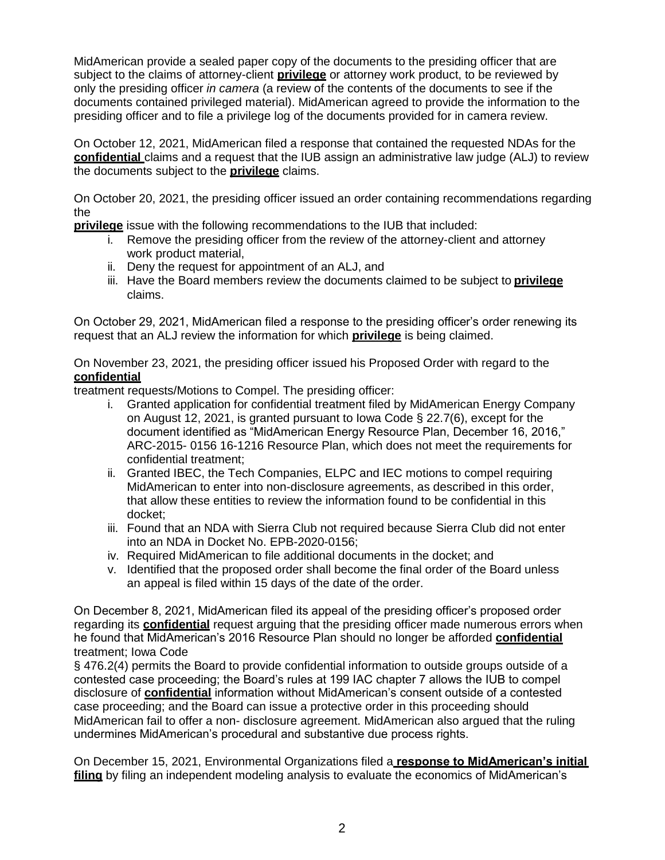MidAmerican provide a sealed paper copy of the documents to the presiding officer that are subject to the claims of attorney-client **privilege** or attorney work product, to be reviewed by only the presiding officer *in camera* (a review of the contents of the documents to see if the documents contained privileged material). MidAmerican agreed to provide the information to the presiding officer and to file a privilege log of the documents provided for in camera review.

On October 12, 2021, MidAmerican filed a response that contained the requested NDAs for the **confidential** claims and a request that the IUB assign an administrative law judge (ALJ) to review the documents subject to the **privilege** claims.

On October 20, 2021, the presiding officer issued an order containing recommendations regarding the

**privilege** issue with the following recommendations to the IUB that included:

- i. Remove the presiding officer from the review of the attorney-client and attorney work product material,
- ii. Deny the request for appointment of an ALJ, and
- iii. Have the Board members review the documents claimed to be subject to **privilege** claims.

On October 29, 2021, MidAmerican filed a response to the presiding officer's order renewing its request that an ALJ review the information for which **privilege** is being claimed.

On November 23, 2021, the presiding officer issued his Proposed Order with regard to the **confidential**

treatment requests/Motions to Compel. The presiding officer:

- i. Granted application for confidential treatment filed by MidAmerican Energy Company on August 12, 2021, is granted pursuant to Iowa Code § 22.7(6), except for the document identified as "MidAmerican Energy Resource Plan, December 16, 2016," ARC-2015- 0156 16-1216 Resource Plan, which does not meet the requirements for confidential treatment;
- ii. Granted IBEC, the Tech Companies, ELPC and IEC motions to compel requiring MidAmerican to enter into non-disclosure agreements, as described in this order, that allow these entities to review the information found to be confidential in this docket;
- iii. Found that an NDA with Sierra Club not required because Sierra Club did not enter into an NDA in Docket No. EPB-2020-0156;
- iv. Required MidAmerican to file additional documents in the docket; and
- v. Identified that the proposed order shall become the final order of the Board unless an appeal is filed within 15 days of the date of the order.

On December 8, 2021, MidAmerican filed its appeal of the presiding officer's proposed order regarding its **confidential** request arguing that the presiding officer made numerous errors when he found that MidAmerican's 2016 Resource Plan should no longer be afforded **confidential** treatment; Iowa Code

§ 476.2(4) permits the Board to provide confidential information to outside groups outside of a contested case proceeding; the Board's rules at 199 IAC chapter 7 allows the IUB to compel disclosure of **confidential** information without MidAmerican's consent outside of a contested case proceeding; and the Board can issue a protective order in this proceeding should MidAmerican fail to offer a non- disclosure agreement. MidAmerican also argued that the ruling undermines MidAmerican's procedural and substantive due process rights.

On December 15, 2021, Environmental Organizations filed a **response to MidAmerican's initial filing** by filing an independent modeling analysis to evaluate the economics of MidAmerican's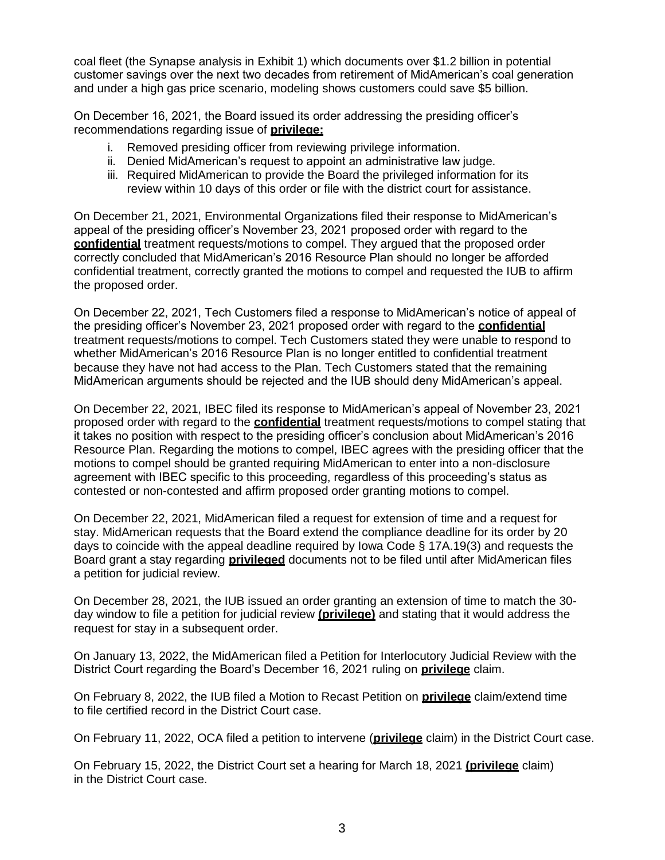coal fleet (the Synapse analysis in Exhibit 1) which documents over \$1.2 billion in potential customer savings over the next two decades from retirement of MidAmerican's coal generation and under a high gas price scenario, modeling shows customers could save \$5 billion.

On December 16, 2021, the Board issued its order addressing the presiding officer's recommendations regarding issue of **privilege:**

- i. Removed presiding officer from reviewing privilege information.
- ii. Denied MidAmerican's request to appoint an administrative law judge.
- iii. Required MidAmerican to provide the Board the privileged information for its review within 10 days of this order or file with the district court for assistance.

On December 21, 2021, Environmental Organizations filed their response to MidAmerican's appeal of the presiding officer's November 23, 2021 proposed order with regard to the **confidential** treatment requests/motions to compel. They argued that the proposed order correctly concluded that MidAmerican's 2016 Resource Plan should no longer be afforded confidential treatment, correctly granted the motions to compel and requested the IUB to affirm the proposed order.

On December 22, 2021, Tech Customers filed a response to MidAmerican's notice of appeal of the presiding officer's November 23, 2021 proposed order with regard to the **confidential** treatment requests/motions to compel. Tech Customers stated they were unable to respond to whether MidAmerican's 2016 Resource Plan is no longer entitled to confidential treatment because they have not had access to the Plan. Tech Customers stated that the remaining MidAmerican arguments should be rejected and the IUB should deny MidAmerican's appeal.

On December 22, 2021, IBEC filed its response to MidAmerican's appeal of November 23, 2021 proposed order with regard to the **confidential** treatment requests/motions to compel stating that it takes no position with respect to the presiding officer's conclusion about MidAmerican's 2016 Resource Plan. Regarding the motions to compel, IBEC agrees with the presiding officer that the motions to compel should be granted requiring MidAmerican to enter into a non-disclosure agreement with IBEC specific to this proceeding, regardless of this proceeding's status as contested or non-contested and affirm proposed order granting motions to compel.

On December 22, 2021, MidAmerican filed a request for extension of time and a request for stay. MidAmerican requests that the Board extend the compliance deadline for its order by 20 days to coincide with the appeal deadline required by Iowa Code § 17A.19(3) and requests the Board grant a stay regarding **privileged** documents not to be filed until after MidAmerican files a petition for judicial review.

On December 28, 2021, the IUB issued an order granting an extension of time to match the 30 day window to file a petition for judicial review **(privilege)** and stating that it would address the request for stay in a subsequent order.

On January 13, 2022, the MidAmerican filed a Petition for Interlocutory Judicial Review with the District Court regarding the Board's December 16, 2021 ruling on **privilege** claim.

On February 8, 2022, the IUB filed a Motion to Recast Petition on **privilege** claim/extend time to file certified record in the District Court case.

On February 11, 2022, OCA filed a petition to intervene (**privilege** claim) in the District Court case.

On February 15, 2022, the District Court set a hearing for March 18, 2021 **(privilege** claim) in the District Court case.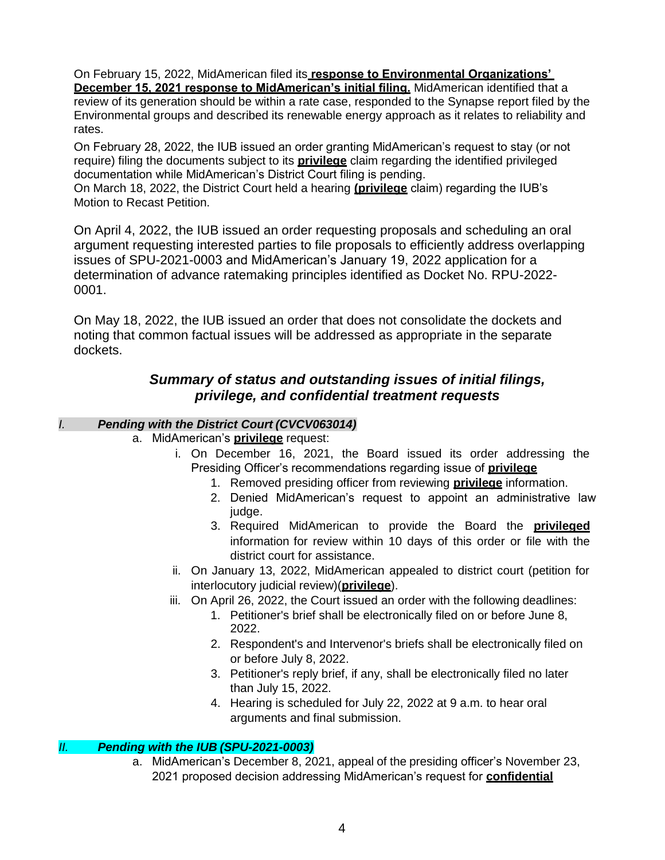On February 15, 2022, MidAmerican filed its **response to Environmental Organizations' December 15, 2021 response to MidAmerican's initial filing.** MidAmerican identified that a review of its generation should be within a rate case, responded to the Synapse report filed by the Environmental groups and described its renewable energy approach as it relates to reliability and rates.

On February 28, 2022, the IUB issued an order granting MidAmerican's request to stay (or not require) filing the documents subject to its **privilege** claim regarding the identified privileged documentation while MidAmerican's District Court filing is pending.

On March 18, 2022, the District Court held a hearing **(privilege** claim) regarding the IUB's Motion to Recast Petition.

On April 4, 2022, the IUB issued an order requesting proposals and scheduling an oral argument requesting interested parties to file proposals to efficiently address overlapping issues of SPU-2021-0003 and MidAmerican's January 19, 2022 application for a determination of advance ratemaking principles identified as Docket No. RPU-2022- 0001.

On May 18, 2022, the IUB issued an order that does not consolidate the dockets and noting that common factual issues will be addressed as appropriate in the separate dockets.

## *Summary of status and outstanding issues of initial filings, privilege, and confidential treatment requests*

## *I. Pending with the District Court (CVCV063014)*

- a. MidAmerican's **privilege** request:
	- i. On December 16, 2021, the Board issued its order addressing the Presiding Officer's recommendations regarding issue of **privilege**
		- 1. Removed presiding officer from reviewing **privilege** information.
		- 2. Denied MidAmerican's request to appoint an administrative law judge.
		- 3. Required MidAmerican to provide the Board the **privileged** information for review within 10 days of this order or file with the district court for assistance.
	- ii. On January 13, 2022, MidAmerican appealed to district court (petition for interlocutory judicial review)(**privilege**).
	- iii. On April 26, 2022, the Court issued an order with the following deadlines:
		- 1. Petitioner's brief shall be electronically filed on or before June 8, 2022.
		- 2. Respondent's and Intervenor's briefs shall be electronically filed on or before July 8, 2022.
		- 3. Petitioner's reply brief, if any, shall be electronically filed no later than July 15, 2022.
		- 4. Hearing is scheduled for July 22, 2022 at 9 a.m. to hear oral arguments and final submission.

## *II. Pending with the IUB (SPU-2021-0003)*

a. MidAmerican's December 8, 2021, appeal of the presiding officer's November 23, 2021 proposed decision addressing MidAmerican's request for **confidential**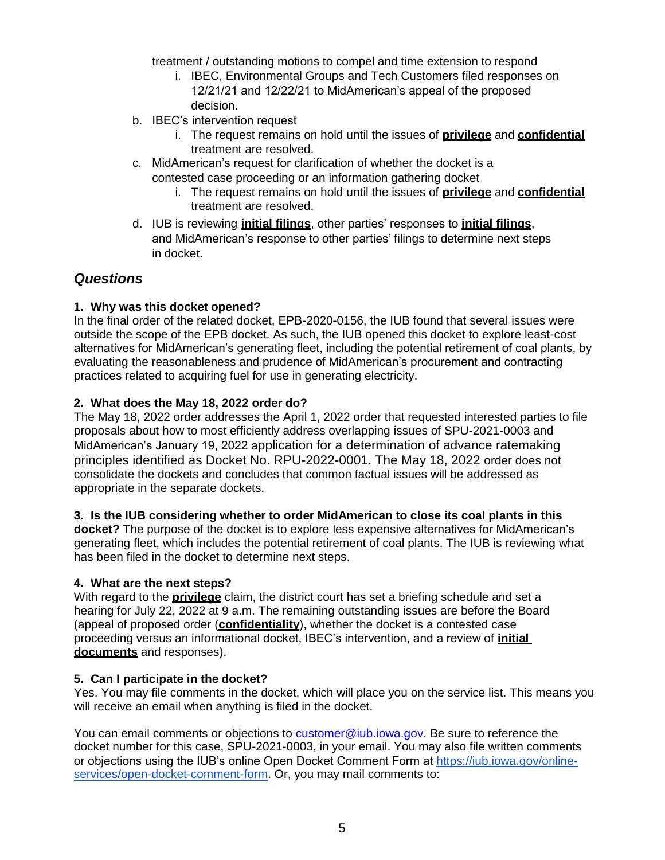treatment / outstanding motions to compel and time extension to respond

- i. IBEC, Environmental Groups and Tech Customers filed responses on 12/21/21 and 12/22/21 to MidAmerican's appeal of the proposed decision.
- b. IBEC's intervention request
	- i. The request remains on hold until the issues of **privilege** and **confidential** treatment are resolved.
- c. MidAmerican's request for clarification of whether the docket is a
	- contested case proceeding or an information gathering docket
		- i. The request remains on hold until the issues of **privilege** and **confidential** treatment are resolved.
- d. IUB is reviewing **initial filings**, other parties' responses to **initial filings**, and MidAmerican's response to other parties' filings to determine next steps in docket.

## *Questions*

## **1. Why was this docket opened?**

In the final order of the related docket, EPB-2020-0156, the IUB found that several issues were outside the scope of the EPB docket. As such, the IUB opened this docket to explore least-cost alternatives for MidAmerican's generating fleet, including the potential retirement of coal plants, by evaluating the reasonableness and prudence of MidAmerican's procurement and contracting practices related to acquiring fuel for use in generating electricity.

## **2. What does the May 18, 2022 order do?**

The May 18, 2022 order addresses the April 1, 2022 order that requested interested parties to file proposals about how to most efficiently address overlapping issues of SPU-2021-0003 and MidAmerican's January 19, 2022 application for a determination of advance ratemaking principles identified as Docket No. RPU-2022-0001. The May 18, 2022 order does not consolidate the dockets and concludes that common factual issues will be addressed as appropriate in the separate dockets.

## **3. Is the IUB considering whether to order MidAmerican to close its coal plants in this**

**docket?** The purpose of the docket is to explore less expensive alternatives for MidAmerican's generating fleet, which includes the potential retirement of coal plants. The IUB is reviewing what has been filed in the docket to determine next steps.

## **4. What are the next steps?**

With regard to the **privilege** claim, the district court has set a briefing schedule and set a hearing for July 22, 2022 at 9 a.m. The remaining outstanding issues are before the Board (appeal of proposed order (**confidentiality**), whether the docket is a contested case proceeding versus an informational docket, IBEC's intervention, and a review of **initial documents** and responses).

## **5. Can I participate in the docket?**

Yes. You may file comments in the docket, which will place you on the service list. This means you will receive an email when anything is filed in the docket.

You can email comments or objections to [customer@iub.iowa.gov. B](mailto:customer@iub.iowa.gov)e sure to reference the docket number for this case, SPU-2021-0003, in your email. You may also file written comments or objections using the IUB's online Open Docket Comment Form at [https://iub.iowa.gov/online](https://iub.iowa.gov/online-services/open-docket-comment-form)[services/open-docket-comment-form.](https://iub.iowa.gov/online-services/open-docket-comment-form) Or, you may mail comments to: